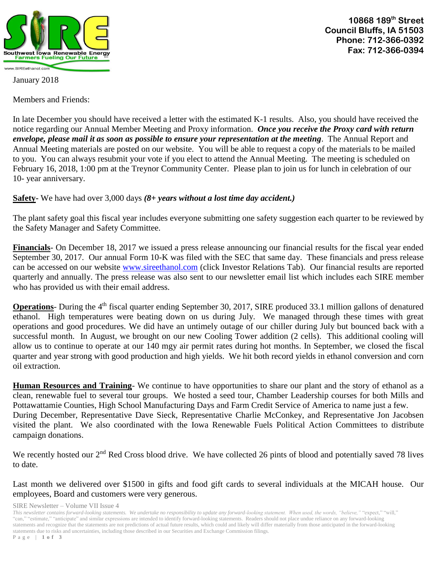

**10868 189th Street Council Bluffs, IA 51503 Phone: 712-366-0392 Fax: 712-366-0394**

January 2018

Members and Friends:

In late December you should have received a letter with the estimated K-1 results. Also, you should have received the notice regarding our Annual Member Meeting and Proxy information. *Once you receive the Proxy card with return envelope, please mail it as soon as possible to ensure your representation at the meeting*. The Annual Report and Annual Meeting materials are posted on our website. You will be able to request a copy of the materials to be mailed to you. You can always resubmit your vote if you elect to attend the Annual Meeting. The meeting is scheduled on February 16, 2018, 1:00 pm at the Treynor Community Center. Please plan to join us for lunch in celebration of our 10- year anniversary.

## **Safety-** We have had over 3,000 days *(8+ years without a lost time day accident.)*

The plant safety goal this fiscal year includes everyone submitting one safety suggestion each quarter to be reviewed by the Safety Manager and Safety Committee.

**Financials**- On December 18, 2017 we issued a press release announcing our financial results for the fiscal year ended September 30, 2017. Our annual Form 10-K was filed with the SEC that same day. These financials and press release can be accessed on our website [www.sireethanol.com](http://www.sireethanol.com/) (click Investor Relations Tab). Our financial results are reported quarterly and annually. The press release was also sent to our newsletter email list which includes each SIRE member who has provided us with their email address.

**Operations**- During the 4<sup>th</sup> fiscal quarter ending September 30, 2017, SIRE produced 33.1 million gallons of denatured ethanol. High temperatures were beating down on us during July. We managed through these times with great operations and good procedures. We did have an untimely outage of our chiller during July but bounced back with a successful month. In August, we brought on our new Cooling Tower addition (2 cells). This additional cooling will allow us to continue to operate at our 140 mgy air permit rates during hot months. In September, we closed the fiscal quarter and year strong with good production and high yields. We hit both record yields in ethanol conversion and corn oil extraction.

**Human Resources and Training**- We continue to have opportunities to share our plant and the story of ethanol as a clean, renewable fuel to several tour groups. We hosted a seed tour, Chamber Leadership courses for both Mills and Pottawattamie Counties, High School Manufacturing Days and Farm Credit Service of America to name just a few. During December, Representative Dave Sieck, Representative Charlie McConkey, and Representative Jon Jacobsen visited the plant. We also coordinated with the Iowa Renewable Fuels Political Action Committees to distribute campaign donations.

We recently hosted our 2<sup>nd</sup> Red Cross blood drive. We have collected 26 pints of blood and potentially saved 78 lives to date.

Last month we delivered over \$1500 in gifts and food gift cards to several individuals at the MICAH house. Our employees, Board and customers were very generous.

SIRE Newsletter – Volume VII Issue 4

*This newsletter contains forward-looking statements. We undertake no responsibility to update any forward-looking statement. When used, the words, "believe,"* "expect," "will," "can," "estimate," "anticipate" and similar expressions are intended to identify forward-looking statements. Readers should not place undue reliance on any forward-looking statements and recognize that the statements are not predictions of actual future results, which could and likely will differ materially from those anticipated in the forward-looking statements due to risks and uncertainties, including those described in our Securities and Exchange Commission filings. P a g e | **1 o f 3**